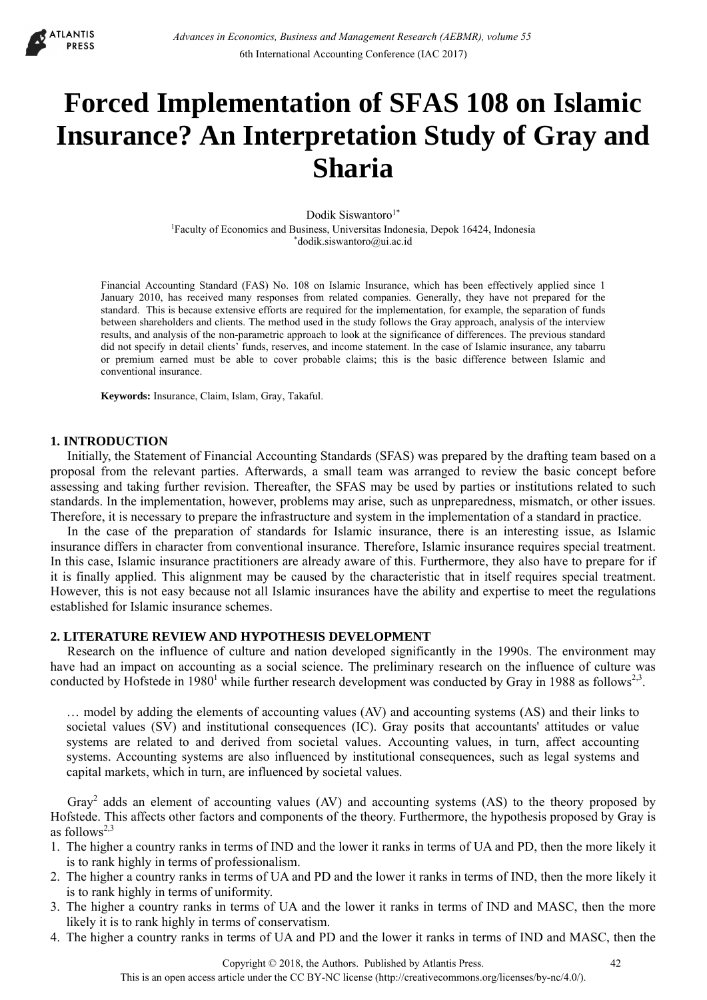

# **Forced Implementation of SFAS 108 on Islamic Insurance? An Interpretation Study of Gray and Sharia**

Dodik Siswantoro<sup>1\*</sup> <sup>1</sup>Faculty of Economics and Business, Universitas Indonesia, Depok 16424, Indonesia<br>
\*dodik.siswantoro@ui.ac.id

Financial Accounting Standard (FAS) No. 108 on Islamic Insurance, which has been effectively applied since 1 January 2010, has received many responses from related companies. Generally, they have not prepared for the standard. This is because extensive efforts are required for the implementation, for example, the separation of funds between shareholders and clients. The method used in the study follows the Gray approach, analysis of the interview results, and analysis of the non-parametric approach to look at the significance of differences. The previous standard did not specify in detail clients' funds, reserves, and income statement. In the case of Islamic insurance, any tabarru or premium earned must be able to cover probable claims; this is the basic difference between Islamic and conventional insurance.

**Keywords:** Insurance, Claim, Islam, Gray, Takaful.

# **1. INTRODUCTION**

Initially, the Statement of Financial Accounting Standards (SFAS) was prepared by the drafting team based on a proposal from the relevant parties. Afterwards, a small team was arranged to review the basic concept before assessing and taking further revision. Thereafter, the SFAS may be used by parties or institutions related to such standards. In the implementation, however, problems may arise, such as unpreparedness, mismatch, or other issues. Therefore, it is necessary to prepare the infrastructure and system in the implementation of a standard in practice.

In the case of the preparation of standards for Islamic insurance, there is an interesting issue, as Islamic insurance differs in character from conventional insurance. Therefore, Islamic insurance requires special treatment. In this case, Islamic insurance practitioners are already aware of this. Furthermore, they also have to prepare for if it is finally applied. This alignment may be caused by the characteristic that in itself requires special treatment. However, this is not easy because not all Islamic insurances have the ability and expertise to meet the regulations established for Islamic insurance schemes.

#### **2. LITERATURE REVIEW AND HYPOTHESIS DEVELOPMENT**

Research on the influence of culture and nation developed significantly in the 1990s. The environment may have had an impact on accounting as a social science. The preliminary research on the influence of culture was conducted by Hofstede in 1980<sup>1</sup> while further research development was conducted by Gray in 1988 as follows<sup>2,3</sup>.

… model by adding the elements of accounting values (AV) and accounting systems (AS) and their links to societal values (SV) and institutional consequences (IC). Gray posits that accountants' attitudes or value systems are related to and derived from societal values. Accounting values, in turn, affect accounting systems. Accounting systems are also influenced by institutional consequences, such as legal systems and capital markets, which in turn, are influenced by societal values.

Gray<sup>2</sup> adds an element of accounting values (AV) and accounting systems (AS) to the theory proposed by Hofstede. This affects other factors and components of the theory. Furthermore, the hypothesis proposed by Gray is as follows $2,3$ 

- 1. The higher a country ranks in terms of IND and the lower it ranks in terms of UA and PD, then the more likely it is to rank highly in terms of professionalism.
- 2. The higher a country ranks in terms of UA and PD and the lower it ranks in terms of IND, then the more likely it is to rank highly in terms of uniformity.
- 3. The higher a country ranks in terms of UA and the lower it ranks in terms of IND and MASC, then the more likely it is to rank highly in terms of conservatism.
- 4. The higher a country ranks in terms of UA and PD and the lower it ranks in terms of IND and MASC, then the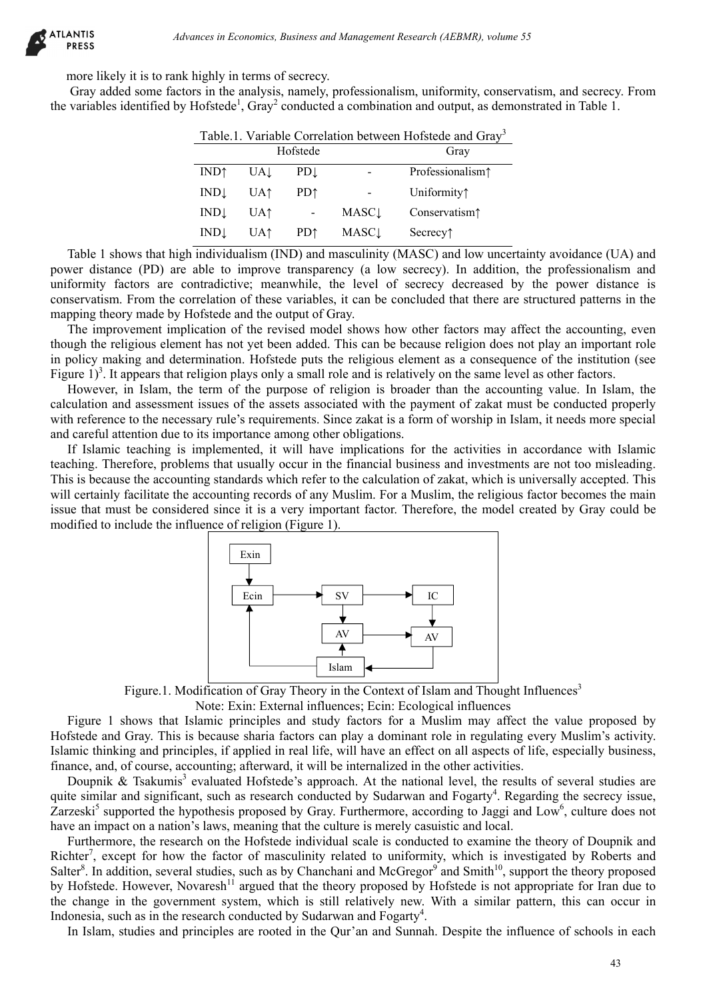more likely it is to rank highly in terms of secrecy.

Gray added some factors in the analysis, namely, professionalism, uniformity, conservatism, and secrecy. From the variables identified by Hofstede<sup>1</sup>, Gray<sup>2</sup> conducted a combination and output, as demonstrated in Table 1.

| Table.1. Variable Correlation between Hofstede and Gray <sup>3</sup> |                 |                 |                          |                                          |  |  |
|----------------------------------------------------------------------|-----------------|-----------------|--------------------------|------------------------------------------|--|--|
| Hofstede                                                             |                 |                 |                          | Gray                                     |  |  |
| <b>IND</b> ↑                                                         | UAL             | PDI             |                          | Professionalism <sup>1</sup>             |  |  |
| INDL                                                                 | UA <sup>†</sup> | PD <sup>†</sup> |                          | Uniformity <sup>1</sup>                  |  |  |
| INDL                                                                 | UA↑             |                 | <b>MASC</b> <sub>L</sub> | Conservatism <sup>1</sup>                |  |  |
| INDL                                                                 | UA1             | PD <sup>↑</sup> | <b>MASC</b> <sub>L</sub> | Secrecy <sup><math>\uparrow</math></sup> |  |  |

Table 1 shows that high individualism (IND) and masculinity (MASC) and low uncertainty avoidance (UA) and power distance (PD) are able to improve transparency (a low secrecy). In addition, the professionalism and uniformity factors are contradictive; meanwhile, the level of secrecy decreased by the power distance is conservatism. From the correlation of these variables, it can be concluded that there are structured patterns in the mapping theory made by Hofstede and the output of Gray.

The improvement implication of the revised model shows how other factors may affect the accounting, even though the religious element has not yet been added. This can be because religion does not play an important role in policy making and determination. Hofstede puts the religious element as a consequence of the institution (see Figure  $1)^3$ . It appears that religion plays only a small role and is relatively on the same level as other factors.

However, in Islam, the term of the purpose of religion is broader than the accounting value. In Islam, the calculation and assessment issues of the assets associated with the payment of zakat must be conducted properly with reference to the necessary rule's requirements. Since zakat is a form of worship in Islam, it needs more special and careful attention due to its importance among other obligations.

If Islamic teaching is implemented, it will have implications for the activities in accordance with Islamic teaching. Therefore, problems that usually occur in the financial business and investments are not too misleading. This is because the accounting standards which refer to the calculation of zakat, which is universally accepted. This will certainly facilitate the accounting records of any Muslim. For a Muslim, the religious factor becomes the main issue that must be considered since it is a very important factor. Therefore, the model created by Gray could be modified to include the influence of religion (Figure 1).



Figure.1. Modification of Gray Theory in the Context of Islam and Thought Influences<sup>3</sup>

Note: Exin: External influences; Ecin: Ecological influences

Figure 1 shows that Islamic principles and study factors for a Muslim may affect the value proposed by Hofstede and Gray. This is because sharia factors can play a dominant role in regulating every Muslim's activity. Islamic thinking and principles, if applied in real life, will have an effect on all aspects of life, especially business, finance, and, of course, accounting; afterward, it will be internalized in the other activities.

Doupnik & Tsakumis<sup>3</sup> evaluated Hofstede's approach. At the national level, the results of several studies are quite similar and significant, such as research conducted by Sudarwan and Fogarty<sup>4</sup>. Regarding the secrecy issue, Zarzeski<sup>5</sup> supported the hypothesis proposed by Gray. Furthermore, according to Jaggi and Low<sup>6</sup>, culture does not have an impact on a nation's laws, meaning that the culture is merely casuistic and local.

Furthermore, the research on the Hofstede individual scale is conducted to examine the theory of Doupnik and Richter<sup>7</sup>, except for how the factor of masculinity related to uniformity, which is investigated by Roberts and Salter<sup>8</sup>. In addition, several studies, such as by Chanchani and McGregor<sup>9</sup> and Smith<sup>10</sup>, support the theory proposed by Hofstede. However, Novaresh<sup>11</sup> argued that the theory proposed by Hofstede is not appropriate for Iran due to the change in the government system, which is still relatively new. With a similar pattern, this can occur in Indonesia, such as in the research conducted by Sudarwan and Fogarty<sup>4</sup>.

In Islam, studies and principles are rooted in the Qur'an and Sunnah. Despite the influence of schools in each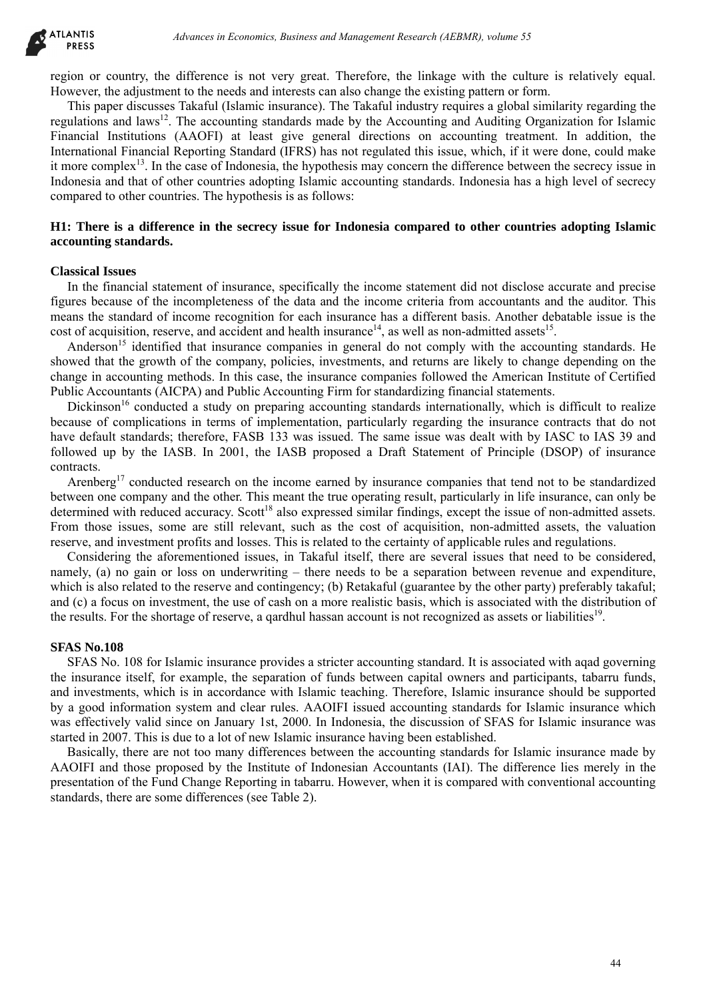region or country, the difference is not very great. Therefore, the linkage with the culture is relatively equal. However, the adjustment to the needs and interests can also change the existing pattern or form.

This paper discusses Takaful (Islamic insurance). The Takaful industry requires a global similarity regarding the regulations and laws<sup>12</sup>. The accounting standards made by the Accounting and Auditing Organization for Islamic Financial Institutions (AAOFI) at least give general directions on accounting treatment. In addition, the International Financial Reporting Standard (IFRS) has not regulated this issue, which, if it were done, could make it more complex<sup>13</sup>. In the case of Indonesia, the hypothesis may concern the difference between the secrecy issue in Indonesia and that of other countries adopting Islamic accounting standards. Indonesia has a high level of secrecy compared to other countries. The hypothesis is as follows: drivance in Economics, Business and Management Research (AEBMR), volume 53<br>
difference is not very guest. The of large in this the calibration<br>of the line of the calibratic insurance). The Lindon interest is not about the

# **H1: There is a difference in the secrecy issue for Indonesia compared to other countries adopting Islamic accounting standards.**

#### **Classical Issues**

In the financial statement of insurance, specifically the income statement did not disclose accurate and precise figures because of the incompleteness of the data and the income criteria from accountants and the auditor. This means the standard of income recognition for each insurance has a different basis. Another debatable issue is the cost of acquisition, reserve, and accident and health insurance<sup>14</sup>, as well as non-admitted assets<sup>15</sup>.

Anderson<sup>15</sup> identified that insurance companies in general do not comply with the accounting standards. He showed that the growth of the company, policies, investments, and returns are likely to change depending on the change in accounting methods. In this case, the insurance companies followed the American Institute of Certified Public Accountants (AICPA) and Public Accounting Firm for standardizing financial statements.

Dickinson<sup>16</sup> conducted a study on preparing accounting standards internationally, which is difficult to realize because of complications in terms of implementation, particularly regarding the insurance contracts that do not have default standards; therefore, FASB 133 was issued. The same issue was dealt with by IASC to IAS 39 and followed up by the IASB. In 2001, the IASB proposed a Draft Statement of Principle (DSOP) of insurance contracts.

Arenberg<sup>17</sup> conducted research on the income earned by insurance companies that tend not to be standardized between one company and the other. This meant the true operating result, particularly in life insurance, can only be determined with reduced accuracy. Scott<sup>18</sup> also expressed similar findings, except the issue of non-admitted assets. From those issues, some are still relevant, such as the cost of acquisition, non-admitted assets, the valuation reserve, and investment profits and losses. This is related to the certainty of applicable rules and regulations.

Considering the aforementioned issues, in Takaful itself, there are several issues that need to be considered, namely, (a) no gain or loss on underwriting – there needs to be a separation between revenue and expenditure, which is also related to the reserve and contingency; (b) Retakaful (guarantee by the other party) preferably takaful; and (c) a focus on investment, the use of cash on a more realistic basis, which is associated with the distribution of the results. For the shortage of reserve, a qardhul hassan account is not recognized as assets or liabilities<sup>19</sup>.

### **SFAS No.108**

SFAS No. 108 for Islamic insurance provides a stricter accounting standard. It is associated with aqad governing the insurance itself, for example, the separation of funds between capital owners and participants, tabarru funds, and investments, which is in accordance with Islamic teaching. Therefore, Islamic insurance should be supported by a good information system and clear rules. AAOIFI issued accounting standards for Islamic insurance which was effectively valid since on January 1st, 2000. In Indonesia, the discussion of SFAS for Islamic insurance was started in 2007. This is due to a lot of new Islamic insurance having been established.

Basically, there are not too many differences between the accounting standards for Islamic insurance made by AAOIFI and those proposed by the Institute of Indonesian Accountants (IAI). The difference lies merely in the presentation of the Fund Change Reporting in tabarru. However, when it is compared with conventional accounting standards, there are some differences (see Table 2).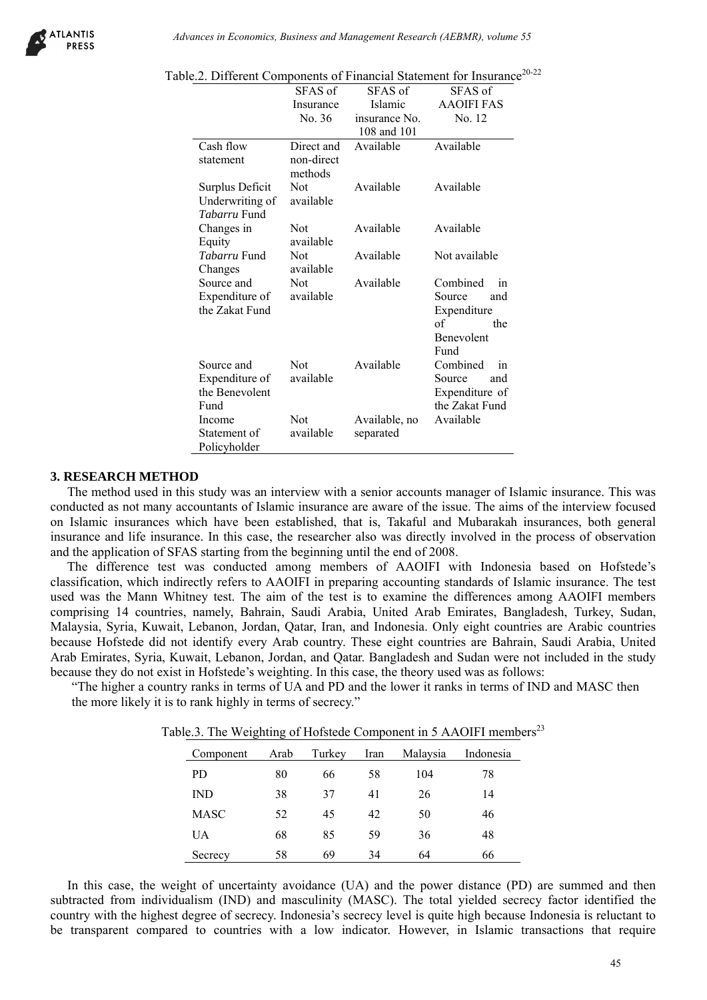

|                                                                                | SFAS of<br>Insurance<br>No. 36                                 | SFAS of<br>Islamic<br>insurance No.<br>108 and 101                  | SFAS of<br><b>AAOIFI FAS</b><br>No. 12                                                                                                                                                                                                                                                                                                                                                                                                                                                                                                                                                                                                                                                                                                                           | able.2. Different Components of Financial Statement for Insurance <sup>20-22</sup> |
|--------------------------------------------------------------------------------|----------------------------------------------------------------|---------------------------------------------------------------------|------------------------------------------------------------------------------------------------------------------------------------------------------------------------------------------------------------------------------------------------------------------------------------------------------------------------------------------------------------------------------------------------------------------------------------------------------------------------------------------------------------------------------------------------------------------------------------------------------------------------------------------------------------------------------------------------------------------------------------------------------------------|------------------------------------------------------------------------------------|
| Cash flow<br>statement<br>Surplus Deficit<br>Underwriting of                   | Direct and<br>non-direct<br>methods<br><b>Not</b><br>available | Available<br>Available                                              | Available<br>Available                                                                                                                                                                                                                                                                                                                                                                                                                                                                                                                                                                                                                                                                                                                                           |                                                                                    |
| Tabarru Fund<br>Changes in<br>Equity                                           | Not<br>available                                               | Available                                                           | Available                                                                                                                                                                                                                                                                                                                                                                                                                                                                                                                                                                                                                                                                                                                                                        |                                                                                    |
| Tabarru Fund                                                                   | Not                                                            | Available                                                           | Not available                                                                                                                                                                                                                                                                                                                                                                                                                                                                                                                                                                                                                                                                                                                                                    |                                                                                    |
| Changes<br>Source and<br>Expenditure of<br>the Zakat Fund                      | available<br><b>Not</b><br>available                           | Available                                                           | Combined<br>in<br>Source<br>and<br>Expenditure<br>of<br>the                                                                                                                                                                                                                                                                                                                                                                                                                                                                                                                                                                                                                                                                                                      |                                                                                    |
| Source and<br>Expenditure of<br>the Benevolent<br>Fund                         | <b>Not</b><br>available                                        | Available                                                           | <b>Benevolent</b><br>Fund<br>Combined<br>in<br>Source<br>and<br>Expenditure of<br>the Zakat Fund                                                                                                                                                                                                                                                                                                                                                                                                                                                                                                                                                                                                                                                                 |                                                                                    |
|                                                                                | Not                                                            | Available, no                                                       | Available                                                                                                                                                                                                                                                                                                                                                                                                                                                                                                                                                                                                                                                                                                                                                        |                                                                                    |
|                                                                                | available                                                      | separated<br>FAS starting from the beginning until the end of 2008. | this study was an interview with a senior accounts manager of Islamic insurance. The<br>accountants of Islamic insurance are aware of the issue. The aims of the interview f<br>which have been established, that is, Takaful and Mubarakah insurances, both a<br>rance. In this case, the researcher also was directly involved in the process of obser                                                                                                                                                                                                                                                                                                                                                                                                         |                                                                                    |
| Income<br>Statement of<br>Policyholder<br>to rank highly in terms of secrecy." |                                                                |                                                                     | t was conducted among members of AAOIFI with Indonesia based on Hof<br>directly refers to AAOIFI in preparing accounting standards of Islamic insurance. T<br>Thitney test. The aim of the test is to examine the differences among AAOIFI me<br>es, namely, Bahrain, Saudi Arabia, United Arab Emirates, Bangladesh, Turkey,<br>it, Lebanon, Jordan, Qatar, Iran, and Indonesia. Only eight countries are Arabic co<br>not identify every Arab country. These eight countries are Bahrain, Saudi Arabia,<br>Kuwait, Lebanon, Jordan, and Qatar. Bangladesh and Sudan were not included in the<br>st in Hofstede's weighting. In this case, the theory used was as follows:<br>try ranks in terms of UA and PD and the lower it ranks in terms of IND and MASC t |                                                                                    |
|                                                                                |                                                                |                                                                     | able.3. The Weighting of Hofstede Component in 5 AAOIFI members $^{23}$                                                                                                                                                                                                                                                                                                                                                                                                                                                                                                                                                                                                                                                                                          |                                                                                    |
| Component                                                                      | Arab<br>Turkey                                                 | Malaysia<br>Iran                                                    | Indonesia                                                                                                                                                                                                                                                                                                                                                                                                                                                                                                                                                                                                                                                                                                                                                        |                                                                                    |
|                                                                                | 80<br>66                                                       | 104<br>58                                                           | 78                                                                                                                                                                                                                                                                                                                                                                                                                                                                                                                                                                                                                                                                                                                                                               |                                                                                    |
| PD.<br><b>IND</b>                                                              | 38<br>37                                                       | 26<br>41                                                            | 14                                                                                                                                                                                                                                                                                                                                                                                                                                                                                                                                                                                                                                                                                                                                                               |                                                                                    |
| <b>MASC</b>                                                                    | 52<br>45                                                       | 42<br>50                                                            | 46                                                                                                                                                                                                                                                                                                                                                                                                                                                                                                                                                                                                                                                                                                                                                               |                                                                                    |
| <b>UA</b><br>Secrecy                                                           | 68<br>85<br>58<br>69                                           | 59<br>36<br>34<br>64                                                | 48<br>66                                                                                                                                                                                                                                                                                                                                                                                                                                                                                                                                                                                                                                                                                                                                                         |                                                                                    |

Table.2. Different Components of Financial Statement for Insurance<sup>20-22</sup>

#### **3. RESEARCH METHOD**

The method used in this study was an interview with a senior accounts manager of Islamic insurance. This was conducted as not many accountants of Islamic insurance are aware of the issue. The aims of the interview focused on Islamic insurances which have been established, that is, Takaful and Mubarakah insurances, both general insurance and life insurance. In this case, the researcher also was directly involved in the process of observation and the application of SFAS starting from the beginning until the end of 2008.

The difference test was conducted among members of AAOIFI with Indonesia based on Hofstede's classification, which indirectly refers to AAOIFI in preparing accounting standards of Islamic insurance. The test used was the Mann Whitney test. The aim of the test is to examine the differences among AAOIFI members comprising 14 countries, namely, Bahrain, Saudi Arabia, United Arab Emirates, Bangladesh, Turkey, Sudan, Malaysia, Syria, Kuwait, Lebanon, Jordan, Qatar, Iran, and Indonesia. Only eight countries are Arabic countries because Hofstede did not identify every Arab country. These eight countries are Bahrain, Saudi Arabia, United Arab Emirates, Syria, Kuwait, Lebanon, Jordan, and Qatar. Bangladesh and Sudan were not included in the study because they do not exist in Hofstede's weighting. In this case, the theory used was as follows:

"The higher a country ranks in terms of UA and PD and the lower it ranks in terms of IND and MASC then the more likely it is to rank highly in terms of secrecy."

| Component   | Arab | Turkey | Iran | Malaysia | Indonesia |
|-------------|------|--------|------|----------|-----------|
| PD.         | 80   | 66     | 58   | 104      | 78        |
| <b>IND</b>  | 38   | 37     | 41   | 26       | 14        |
| <b>MASC</b> | 52   | 45     | 42   | 50       | 46        |
| UA          | 68   | 85     | 59   | 36       | 48        |
| Secrecy     | 58   | 69     | 34   | 64       | 66        |

Table.3. The Weighting of Hofstede Component in 5 AAOIFI members<sup>23</sup>

In this case, the weight of uncertainty avoidance (UA) and the power distance (PD) are summed and then subtracted from individualism (IND) and masculinity (MASC). The total yielded secrecy factor identified the country with the highest degree of secrecy. Indonesia's secrecy level is quite high because Indonesia is reluctant to be transparent compared to countries with a low indicator. However, in Islamic transactions that require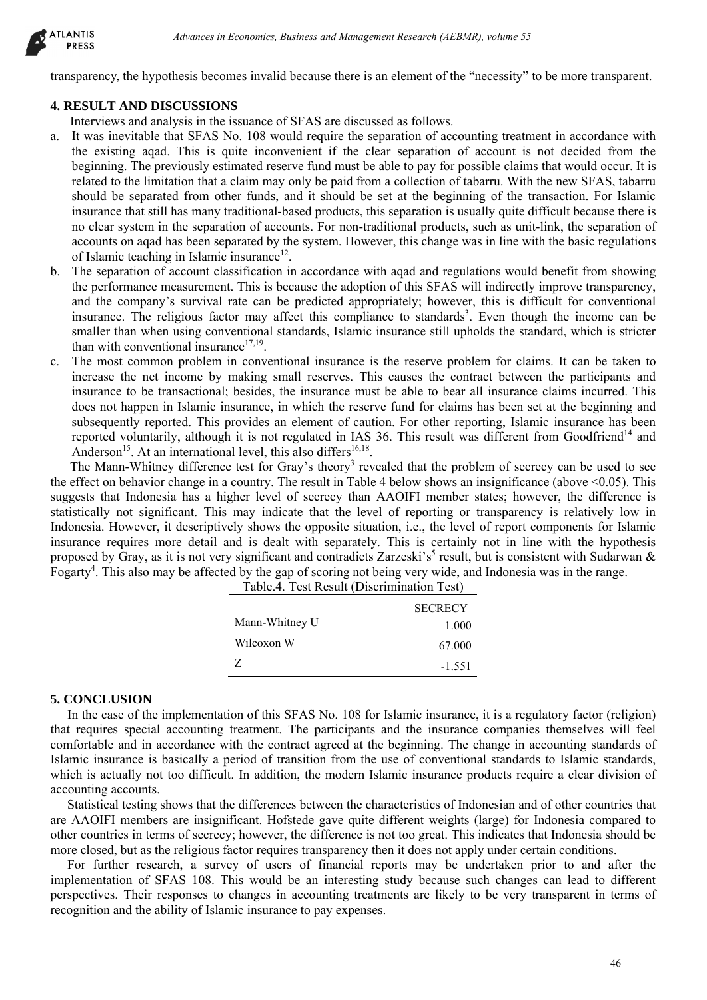

transparency, the hypothesis becomes invalid because there is an element of the "necessity" to be more transparent.

# **4. RESULT AND DISCUSSIONS**

Interviews and analysis in the issuance of SFAS are discussed as follows.

- a. It was inevitable that SFAS No. 108 would require the separation of accounting treatment in accordance with the existing aqad. This is quite inconvenient if the clear separation of account is not decided from the beginning. The previously estimated reserve fund must be able to pay for possible claims that would occur. It is related to the limitation that a claim may only be paid from a collection of tabarru. With the new SFAS, tabarru should be separated from other funds, and it should be set at the beginning of the transaction. For Islamic insurance that still has many traditional-based products, this separation is usually quite difficult because there is no clear system in the separation of accounts. For non-traditional products, such as unit-link, the separation of accounts on aqad has been separated by the system. However, this change was in line with the basic regulations of Islamic teaching in Islamic insurance<sup>12</sup>. drivance in Economics, Business and Management Research (AEBMR), volume 55<br>
Hestis becomes invalid because there is an element of the "necessity" to be note transported<br>CCISSIONS.<br>
CCISSIONS are discussed as follows.<br>
Syst
- b. The separation of account classification in accordance with aqad and regulations would benefit from showing the performance measurement. This is because the adoption of this SFAS will indirectly improve transparency, and the company's survival rate can be predicted appropriately; however, this is difficult for conventional insurance. The religious factor may affect this compliance to standards<sup>3</sup>. Even though the income can be smaller than when using conventional standards, Islamic insurance still upholds the standard, which is stricter than with conventional insurance $17,19$ .
- c. The most common problem in conventional insurance is the reserve problem for claims. It can be taken to increase the net income by making small reserves. This causes the contract between the participants and insurance to be transactional; besides, the insurance must be able to bear all insurance claims incurred. This does not happen in Islamic insurance, in which the reserve fund for claims has been set at the beginning and subsequently reported. This provides an element of caution. For other reporting, Islamic insurance has been reported voluntarily, although it is not regulated in IAS 36. This result was different from Goodfriend<sup>14</sup> and Anderson<sup>15</sup>. At an international level, this also differs<sup>16,18</sup>.

The Mann-Whitney difference test for Gray's theory<sup>3</sup> revealed that the problem of secrecy can be used to see the effect on behavior change in a country. The result in Table 4 below shows an insignificance (above  $\leq 0.05$ ). This suggests that Indonesia has a higher level of secrecy than AAOIFI member states; however, the difference is statistically not significant. This may indicate that the level of reporting or transparency is relatively low in Indonesia. However, it descriptively shows the opposite situation, i.e., the level of report components for Islamic insurance requires more detail and is dealt with separately. This is certainly not in line with the hypothesis proposed by Gray, as it is not very significant and contradicts Zarzeski's<sup>5</sup> result, but is consistent with Sudarwan & Fogarty<sup>4</sup>. This also may be affected by the gap of scoring not being very wide, and Indonesia was in the range.

|                | <b>SECRECY</b> |
|----------------|----------------|
| Mann-Whitney U | 1.000          |
| Wilcoxon W     | 67.000         |
| Z              | $-1.551$       |

Table.4. Test Result (Discrimination Test)

#### **5. CONCLUSION**

In the case of the implementation of this SFAS No. 108 for Islamic insurance, it is a regulatory factor (religion) that requires special accounting treatment. The participants and the insurance companies themselves will feel comfortable and in accordance with the contract agreed at the beginning. The change in accounting standards of Islamic insurance is basically a period of transition from the use of conventional standards to Islamic standards, which is actually not too difficult. In addition, the modern Islamic insurance products require a clear division of accounting accounts.

Statistical testing shows that the differences between the characteristics of Indonesian and of other countries that are AAOIFI members are insignificant. Hofstede gave quite different weights (large) for Indonesia compared to other countries in terms of secrecy; however, the difference is not too great. This indicates that Indonesia should be more closed, but as the religious factor requires transparency then it does not apply under certain conditions.

For further research, a survey of users of financial reports may be undertaken prior to and after the implementation of SFAS 108. This would be an interesting study because such changes can lead to different perspectives. Their responses to changes in accounting treatments are likely to be very transparent in terms of recognition and the ability of Islamic insurance to pay expenses.